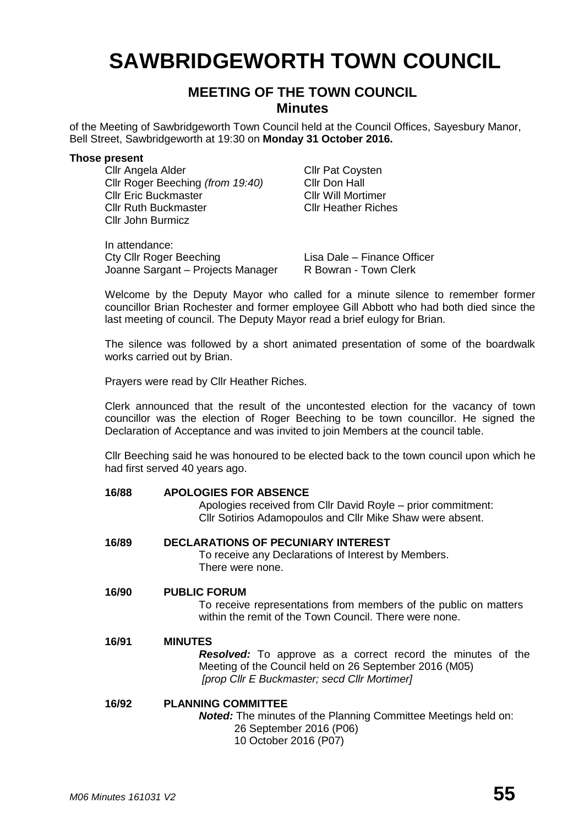# **SAWBRIDGEWORTH TOWN COUNCIL**

# **MEETING OF THE TOWN COUNCIL Minutes**

of the Meeting of Sawbridgeworth Town Council held at the Council Offices, Sayesbury Manor, Bell Street, Sawbridgeworth at 19:30 on **Monday 31 October 2016.**

#### **Those present**

Cllr Angela Alder Cllr Pat Coysten<br>Cllr Roger Beeching (from 19:40) Cllr Don Hall Cllr Roger Beeching *(from 19:40)* Cllr Don Hall Cllr Eric Buckmaster Cllr Ruth Buckmaster Cllr Heather Riches Cllr John Burmicz

In attendance: Cty Cllr Roger Beeching<br>
Joanne Sargant – Projects Manager R Bowran - Town Clerk Joanne Sargant – Projects Manager

Welcome by the Deputy Mayor who called for a minute silence to remember former councillor Brian Rochester and former employee Gill Abbott who had both died since the last meeting of council. The Deputy Mayor read a brief eulogy for Brian.

The silence was followed by a short animated presentation of some of the boardwalk works carried out by Brian.

Prayers were read by Cllr Heather Riches.

Clerk announced that the result of the uncontested election for the vacancy of town councillor was the election of Roger Beeching to be town councillor. He signed the Declaration of Acceptance and was invited to join Members at the council table.

Cllr Beeching said he was honoured to be elected back to the town council upon which he had first served 40 years ago.

# **16/88 APOLOGIES FOR ABSENCE** Apologies received from Cllr David Royle – prior commitment: Cllr Sotirios Adamopoulos and Cllr Mike Shaw were absent. **16/89 DECLARATIONS OF PECUNIARY INTEREST** To receive any Declarations of Interest by Members. There were none. **16/90 PUBLIC FORUM** To receive representations from members of the public on matters within the remit of the Town Council. There were none. **16/91 MINUTES** *Resolved:* To approve as a correct record the minutes of the Meeting of the Council held on 26 September 2016 (M05) *[prop Cllr E Buckmaster; secd Cllr Mortimer]* **16/92 PLANNING COMMITTEE**

*Noted:* The minutes of the Planning Committee Meetings held on: 26 September 2016 (P06)

10 October 2016 (P07)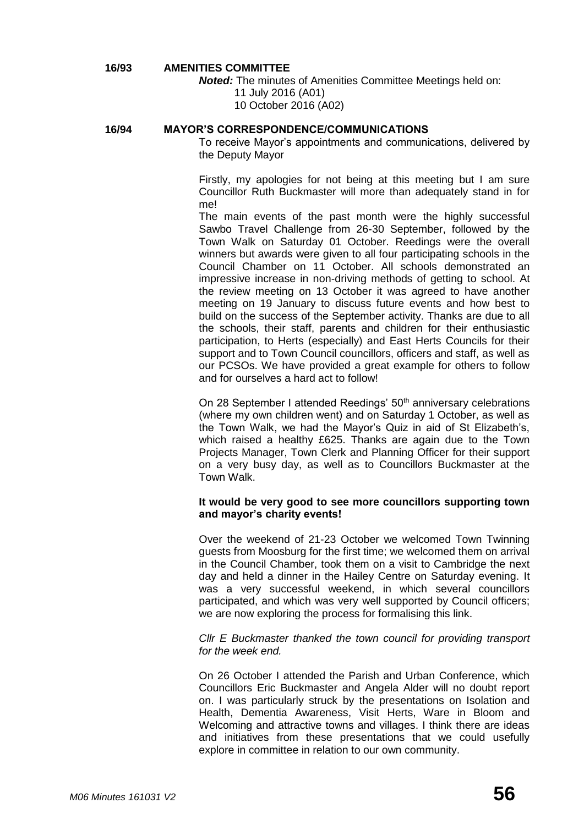#### **16/93 AMENITIES COMMITTEE**

*Noted:* The minutes of Amenities Committee Meetings held on:

11 July 2016 (A01)

10 October 2016 (A02)

# **16/94 MAYOR'S CORRESPONDENCE/COMMUNICATIONS**

To receive Mayor's appointments and communications, delivered by the Deputy Mayor

Firstly, my apologies for not being at this meeting but I am sure Councillor Ruth Buckmaster will more than adequately stand in for me!

The main events of the past month were the highly successful Sawbo Travel Challenge from 26-30 September, followed by the Town Walk on Saturday 01 October. Reedings were the overall winners but awards were given to all four participating schools in the Council Chamber on 11 October. All schools demonstrated an impressive increase in non-driving methods of getting to school. At the review meeting on 13 October it was agreed to have another meeting on 19 January to discuss future events and how best to build on the success of the September activity. Thanks are due to all the schools, their staff, parents and children for their enthusiastic participation, to Herts (especially) and East Herts Councils for their support and to Town Council councillors, officers and staff, as well as our PCSOs. We have provided a great example for others to follow and for ourselves a hard act to follow!

On 28 September I attended Reedings' 50<sup>th</sup> anniversary celebrations (where my own children went) and on Saturday 1 October, as well as the Town Walk, we had the Mayor's Quiz in aid of St Elizabeth's, which raised a healthy £625. Thanks are again due to the Town Projects Manager, Town Clerk and Planning Officer for their support on a very busy day, as well as to Councillors Buckmaster at the Town Walk.

#### **It would be very good to see more councillors supporting town and mayor's charity events!**

Over the weekend of 21-23 October we welcomed Town Twinning guests from Moosburg for the first time; we welcomed them on arrival in the Council Chamber, took them on a visit to Cambridge the next day and held a dinner in the Hailey Centre on Saturday evening. It was a very successful weekend, in which several councillors participated, and which was very well supported by Council officers; we are now exploring the process for formalising this link.

#### *Cllr E Buckmaster thanked the town council for providing transport for the week end.*

On 26 October I attended the Parish and Urban Conference, which Councillors Eric Buckmaster and Angela Alder will no doubt report on. I was particularly struck by the presentations on Isolation and Health, Dementia Awareness, Visit Herts, Ware in Bloom and Welcoming and attractive towns and villages. I think there are ideas and initiatives from these presentations that we could usefully explore in committee in relation to our own community.

*M06 Minutes 161031 V2* **56**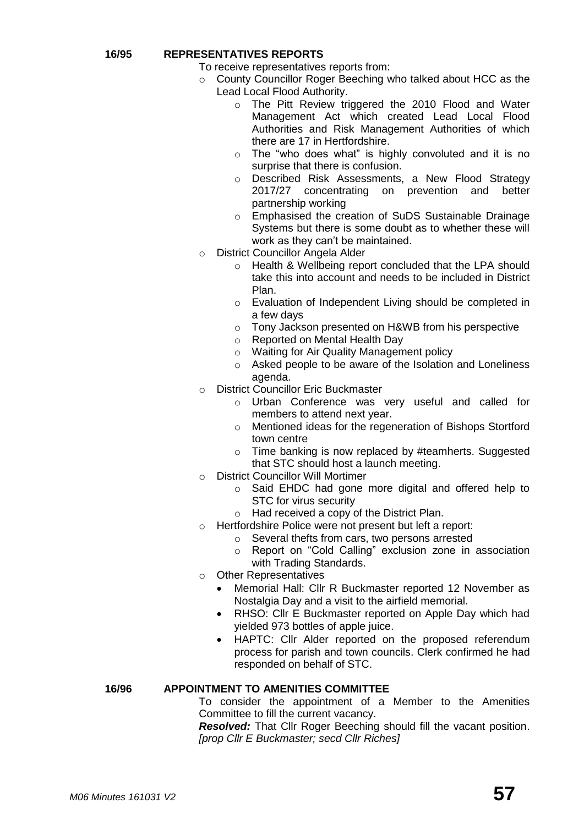#### **16/95 REPRESENTATIVES REPORTS**

- To receive representatives reports from:
- o County Councillor Roger Beeching who talked about HCC as the Lead Local Flood Authority.
	- o The Pitt Review triggered the 2010 Flood and Water Management Act which created Lead Local Flood Authorities and Risk Management Authorities of which there are 17 in Hertfordshire.
	- o The "who does what" is highly convoluted and it is no surprise that there is confusion.
	- o Described Risk Assessments, a New Flood Strategy 2017/27 concentrating on prevention and better partnership working
	- o Emphasised the creation of SuDS Sustainable Drainage Systems but there is some doubt as to whether these will work as they can't be maintained.
- o District Councillor Angela Alder
	- o Health & Wellbeing report concluded that the LPA should take this into account and needs to be included in District Plan.
	- o Evaluation of Independent Living should be completed in a few days
	- o Tony Jackson presented on H&WB from his perspective
	- o Reported on Mental Health Day
	- o Waiting for Air Quality Management policy
	- o Asked people to be aware of the Isolation and Loneliness agenda.
- o District Councillor Eric Buckmaster
	- o Urban Conference was very useful and called for members to attend next year.
	- o Mentioned ideas for the regeneration of Bishops Stortford town centre
	- o Time banking is now replaced by #teamherts. Suggested that STC should host a launch meeting.
- o District Councillor Will Mortimer
	- o Said EHDC had gone more digital and offered help to STC for virus security
	- o Had received a copy of the District Plan.
- o Hertfordshire Police were not present but left a report:
	- o Several thefts from cars, two persons arrested
	- o Report on "Cold Calling" exclusion zone in association with Trading Standards.
- o Other Representatives
	- Memorial Hall: Cllr R Buckmaster reported 12 November as Nostalgia Day and a visit to the airfield memorial.
	- RHSO: Cllr E Buckmaster reported on Apple Day which had yielded 973 bottles of apple juice.
	- HAPTC: Cllr Alder reported on the proposed referendum process for parish and town councils. Clerk confirmed he had responded on behalf of STC.

#### **16/96 APPOINTMENT TO AMENITIES COMMITTEE**

To consider the appointment of a Member to the Amenities Committee to fill the current vacancy.

*Resolved:* That Cllr Roger Beeching should fill the vacant position. *[prop Cllr E Buckmaster; secd Cllr Riches]*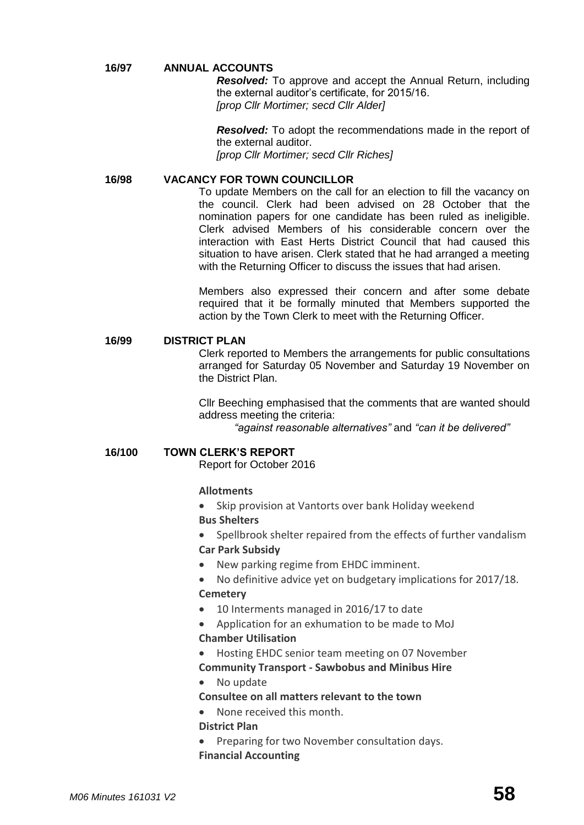#### **16/97 ANNUAL ACCOUNTS**

*Resolved:* To approve and accept the Annual Return, including the external auditor's certificate, for 2015/16. *[prop Cllr Mortimer; secd Cllr Alder]*

*Resolved:* To adopt the recommendations made in the report of the external auditor. *[prop Cllr Mortimer; secd Cllr Riches]*

#### **16/98 VACANCY FOR TOWN COUNCILLOR**

To update Members on the call for an election to fill the vacancy on the council. Clerk had been advised on 28 October that the nomination papers for one candidate has been ruled as ineligible. Clerk advised Members of his considerable concern over the interaction with East Herts District Council that had caused this situation to have arisen. Clerk stated that he had arranged a meeting with the Returning Officer to discuss the issues that had arisen.

Members also expressed their concern and after some debate required that it be formally minuted that Members supported the action by the Town Clerk to meet with the Returning Officer.

#### **16/99 DISTRICT PLAN**

Clerk reported to Members the arrangements for public consultations arranged for Saturday 05 November and Saturday 19 November on the District Plan.

Cllr Beeching emphasised that the comments that are wanted should address meeting the criteria:

*"against reasonable alternatives"* and *"can it be delivered"*

#### **16/100 TOWN CLERK'S REPORT**

Report for October 2016

#### **[Allotments](http://www.sawbridgeworth-tc.gov.uk/town-information/town-council-services/allotments)**

- Skip provision at Vantorts over bank Holiday weekend **Bus Shelters**
- Spellbrook shelter repaired from the effects of further vandalism **Car Park Subsidy**
- New parking regime from EHDC imminent.
- No definitive advice yet on budgetary implications for 2017/18. **[Cemetery](http://www.sawbridgeworth-tc.gov.uk/town-information/town-council-services/cemetery)**
- 10 Interments managed in 2016/17 to date
- Application for an exhumation to be made to MoJ **Chamber Utilisation**

- Hosting EHDC senior team meeting on 07 November
- **Community Transport - [Sawbobus](http://www.sawbridgeworth-tc.gov.uk/town-information/town-council-services/sawbobus) an[d Minibus Hire](http://www.sawbridgeworth-tc.gov.uk/town-information/town-council-services/minibus-hire)**

# • No update

#### **Consultee on all matters relevant to the town**

None received this month.

#### **District Plan**

 Preparing for two November consultation days. **Financial Accounting**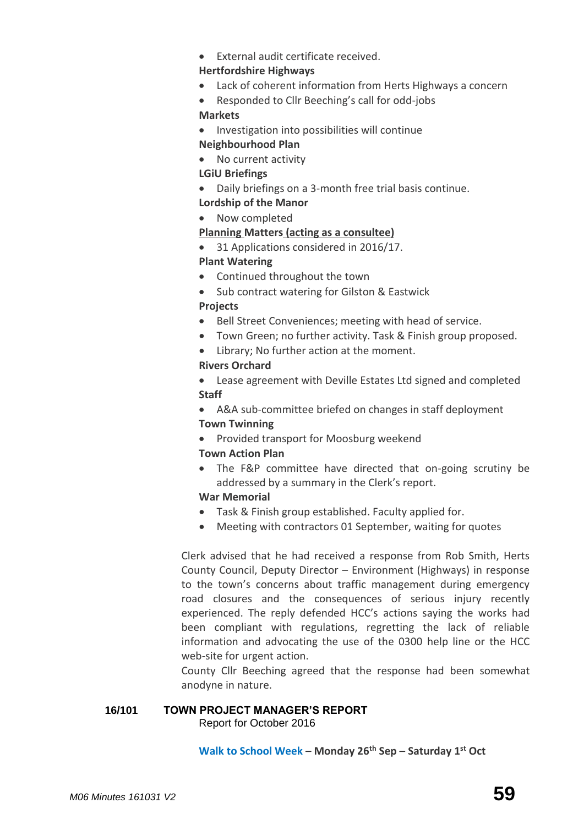External audit certificate received.

### **Hertfordshire Highways**

Lack of coherent information from Herts Highways a concern

 Responded to Cllr Beeching's call for odd-jobs **Markets**

• Investigation into possibilities will continue

# **Neighbourhood Plan**

• No current activity

# **LGiU Briefings**

- Daily briefings on a 3-month free trial basis continue.
- **Lordship of the Manor**
- Now completed

# **Planning Matters [\(acting as a consultee\)](http://www.sawbridgeworth-tc.gov.uk/town-council/planning)**

• 31 Applications considered in 2016/17.

# **Plant Watering**

- Continued throughout the town
- Sub contract watering for Gilston & Eastwick

# **Projects**

- Bell Street Conveniences; meeting with head of service.
- Town Green; no further activity. Task & Finish group proposed.
- Library; No further action at the moment.

# **Rivers Orchard**

 Lease agreement with Deville Estates Ltd signed and completed **Staff**

 A&A sub-committee briefed on changes in staff deployment **Town Twinning** 

• Provided transport for Moosburg weekend

# **Town Action Plan**

 The F&P committee have directed that on-going scrutiny be addressed by a summary in the Clerk's report.

# **War Memorial**

- Task & Finish group established. Faculty applied for.
- Meeting with contractors 01 September, waiting for quotes

Clerk advised that he had received a response from Rob Smith, Herts County Council, Deputy Director – Environment (Highways) in response to the town's concerns about traffic management during emergency road closures and the consequences of serious injury recently experienced. The reply defended HCC's actions saying the works had been compliant with regulations, regretting the lack of reliable information and advocating the use of the 0300 help line or the HCC web-site for urgent action.

County Cllr Beeching agreed that the response had been somewhat anodyne in nature.

### **16/101 TOWN PROJECT MANAGER'S REPORT** Report for October 2016

**Walk to School Week – Monday 26th Sep – Saturday 1st Oct**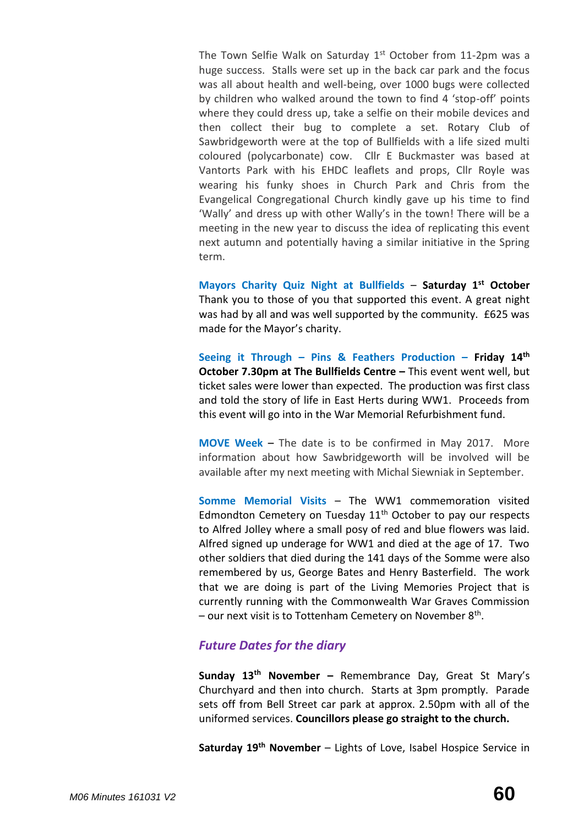The Town Selfie Walk on Saturday 1<sup>st</sup> October from 11-2pm was a huge success. Stalls were set up in the back car park and the focus was all about health and well-being, over 1000 bugs were collected by children who walked around the town to find 4 'stop-off' points where they could dress up, take a selfie on their mobile devices and then collect their bug to complete a set. Rotary Club of Sawbridgeworth were at the top of Bullfields with a life sized multi coloured (polycarbonate) cow. Cllr E Buckmaster was based at Vantorts Park with his EHDC leaflets and props, Cllr Royle was wearing his funky shoes in Church Park and Chris from the Evangelical Congregational Church kindly gave up his time to find 'Wally' and dress up with other Wally's in the town! There will be a meeting in the new year to discuss the idea of replicating this event next autumn and potentially having a similar initiative in the Spring term.

**Mayors Charity Quiz Night at Bullfields** – **Saturday 1st October** Thank you to those of you that supported this event. A great night was had by all and was well supported by the community. £625 was made for the Mayor's charity.

**Seeing it Through – Pins & Feathers Production – Friday 14th October 7.30pm at The Bullfields Centre - This event went well, but** ticket sales were lower than expected. The production was first class and told the story of life in East Herts during WW1. Proceeds from this event will go into in the War Memorial Refurbishment fund.

**MOVE Week –** The date is to be confirmed in May 2017. More information about how Sawbridgeworth will be involved will be available after my next meeting with Michal Siewniak in September.

**Somme Memorial Visits** – The WW1 commemoration visited Edmondton Cemetery on Tuesday  $11<sup>th</sup>$  October to pay our respects to Alfred Jolley where a small posy of red and blue flowers was laid. Alfred signed up underage for WW1 and died at the age of 17. Two other soldiers that died during the 141 days of the Somme were also remembered by us, George Bates and Henry Basterfield. The work that we are doing is part of the Living Memories Project that is currently running with the Commonwealth War Graves Commission - our next visit is to Tottenham Cemetery on November 8<sup>th</sup>.

# *Future Dates for the diary*

**Sunday 13th November –** Remembrance Day, Great St Mary's Churchyard and then into church. Starts at 3pm promptly. Parade sets off from Bell Street car park at approx. 2.50pm with all of the uniformed services. **Councillors please go straight to the church.**

**Saturday 19th November** – Lights of Love, Isabel Hospice Service in